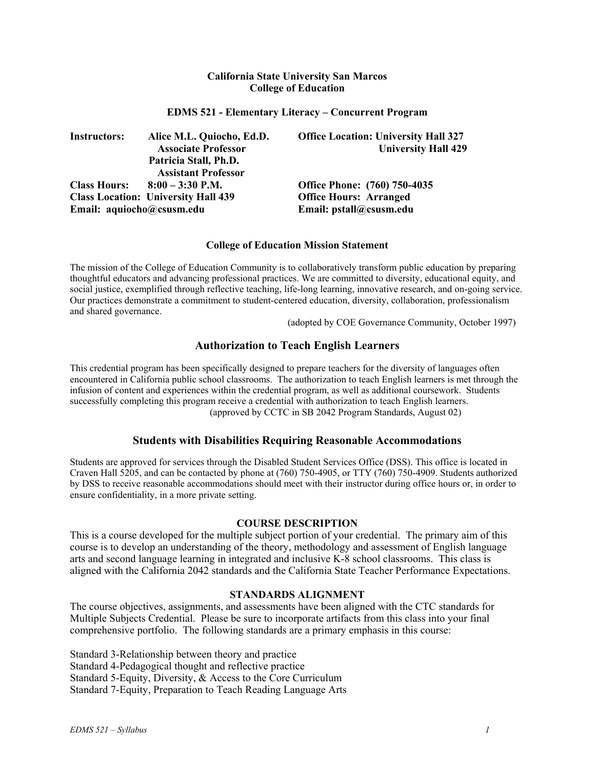## **California State University San Marcos College of Education**

## **EDMS 521 - Elementary Literacy – Concurrent Program**

| <b>Instructors:</b>       | Alice M.L. Quiocho, Ed.D.                  | <b>Office Location: University Hall 327</b> |
|---------------------------|--------------------------------------------|---------------------------------------------|
|                           | <b>Associate Professor</b>                 | <b>University Hall 429</b>                  |
|                           | Patricia Stall, Ph.D.                      |                                             |
|                           | <b>Assistant Professor</b>                 |                                             |
|                           | Class Hours: $8:00 - 3:30$ P.M.            | <b>Office Phone:</b> (760) 750-4035         |
|                           | <b>Class Location: University Hall 439</b> | <b>Office Hours: Arranged</b>               |
| Email: aquiocho@csusm.edu |                                            | Email: pstall@csusm.edu                     |

### **College of Education Mission Statement**

The mission of the College of Education Community is to collaboratively transform public education by preparing thoughtful educators and advancing professional practices. We are committed to diversity, educational equity, and social justice, exemplified through reflective teaching, life-long learning, innovative research, and on-going service. Our practices demonstrate a commitment to student-centered education, diversity, collaboration, professionalism and shared governance.

(adopted by COE Governance Community, October 1997)

# **Authorization to Teach English Learners**

This credential program has been specifically designed to prepare teachers for the diversity of languages often encountered in California public school classrooms. The authorization to teach English learners is met through the infusion of content and experiences within the credential program, as well as additional coursework. Students successfully completing this program receive a credential with authorization to teach English learners. (approved by CCTC in SB 2042 Program Standards, August 02)

# **Students with Disabilities Requiring Reasonable Accommodations**

Students are approved for services through the Disabled Student Services Office (DSS). This office is located in Craven Hall 5205, and can be contacted by phone at (760) 750-4905, or TTY (760) 750-4909. Students authorized by DSS to receive reasonable accommodations should meet with their instructor during office hours or, in order to ensure confidentiality, in a more private setting.

#### **COURSE DESCRIPTION**

This is a course developed for the multiple subject portion of your credential. The primary aim of this course is to develop an understanding of the theory, methodology and assessment of English language arts and second language learning in integrated and inclusive K-8 school classrooms. This class is aligned with the California 2042 standards and the California State Teacher Performance Expectations.

# **STANDARDS ALIGNMENT**

The course objectives, assignments, and assessments have been aligned with the CTC standards for Multiple Subjects Credential. Please be sure to incorporate artifacts from this class into your final comprehensive portfolio. The following standards are a primary emphasis in this course:

Standard 3-Relationship between theory and practice Standard 4-Pedagogical thought and reflective practice Standard 5-Equity, Diversity, & Access to the Core Curriculum Standard 7-Equity, Preparation to Teach Reading Language Arts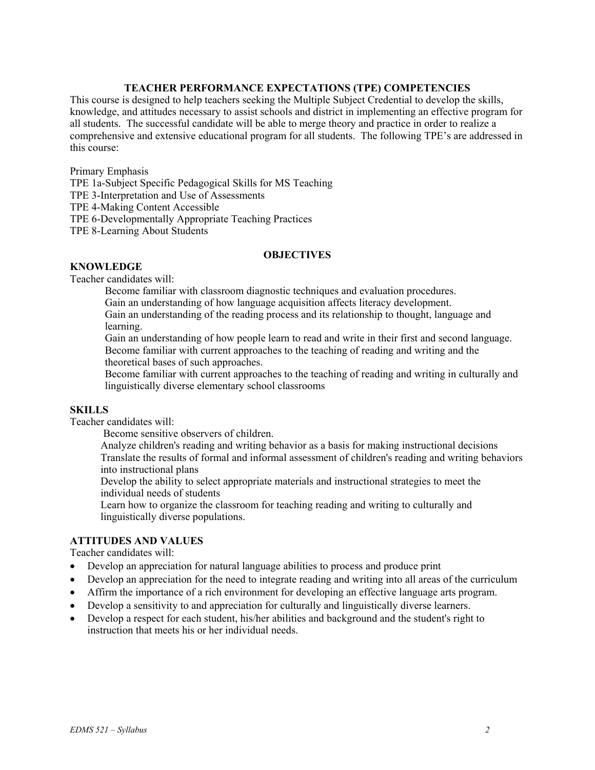# **TEACHER PERFORMANCE EXPECTATIONS (TPE) COMPETENCIES**

This course is designed to help teachers seeking the Multiple Subject Credential to develop the skills, knowledge, and attitudes necessary to assist schools and district in implementing an effective program for all students. The successful candidate will be able to merge theory and practice in order to realize a comprehensive and extensive educational program for all students. The following TPE's are addressed in this course:

Primary Emphasis

TPE 1a-Subject Specific Pedagogical Skills for MS Teaching

TPE 3-Interpretation and Use of Assessments

TPE 4-Making Content Accessible

TPE 6-Developmentally Appropriate Teaching Practices

TPE 8-Learning About Students

### **OBJECTIVES**

## **KNOWLEDGE**

Teacher candidates will:

Become familiar with classroom diagnostic techniques and evaluation procedures.

Gain an understanding of how language acquisition affects literacy development.

Gain an understanding of the reading process and its relationship to thought, language and learning.

Gain an understanding of how people learn to read and write in their first and second language. Become familiar with current approaches to the teaching of reading and writing and the theoretical bases of such approaches.

Become familiar with current approaches to the teaching of reading and writing in culturally and linguistically diverse elementary school classrooms

#### **SKILLS**

Teacher candidates will:

Become sensitive observers of children.

Analyze children's reading and writing behavior as a basis for making instructional decisions Translate the results of formal and informal assessment of children's reading and writing behaviors into instructional plans

Develop the ability to select appropriate materials and instructional strategies to meet the individual needs of students

Learn how to organize the classroom for teaching reading and writing to culturally and linguistically diverse populations.

# **ATTITUDES AND VALUES**

Teacher candidates will:

- Develop an appreciation for natural language abilities to process and produce print
- Develop an appreciation for the need to integrate reading and writing into all areas of the curriculum
- Affirm the importance of a rich environment for developing an effective language arts program.
- Develop a sensitivity to and appreciation for culturally and linguistically diverse learners.
- Develop a respect for each student, his/her abilities and background and the student's right to instruction that meets his or her individual needs.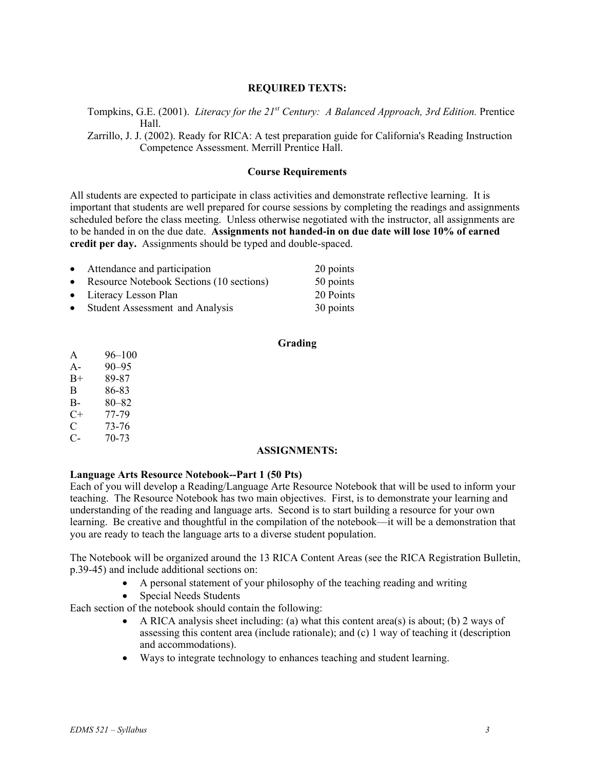# **REQUIRED TEXTS:**

Tompkins, G.E. (2001). *Literacy for the 21st Century: A Balanced Approach, 3rd Edition.* Prentice Hall.

Zarrillo, J. J. (2002). Ready for RICA: A test preparation guide for California's Reading Instruction Competence Assessment. Merrill Prentice Hall.

## **Course Requirements**

All students are expected to participate in class activities and demonstrate reflective learning. It is important that students are well prepared for course sessions by completing the readings and assignments scheduled before the class meeting. Unless otherwise negotiated with the instructor, all assignments are to be handed in on the due date. **Assignments not handed-in on due date will lose 10% of earned credit per day.** Assignments should be typed and double-spaced.

| • Attendance and participation             | 20 points |
|--------------------------------------------|-----------|
| • Resource Notebook Sections (10 sections) | 50 points |
| • Literacy Lesson Plan                     | 20 Points |
| • Student Assessment and Analysis          | 30 points |

## **Grading**

| A    | $96 - 100$ |
|------|------------|
| $A-$ | $90 - 95$  |
| $B+$ | 89-87      |
| B    | 86-83      |
| B-   | $80 - 82$  |
| C+   | 77-79      |
| C    | 73-76      |
| C-   | 70-73      |

### **ASSIGNMENTS:**

### **Language Arts Resource Notebook--Part 1 (50 Pts)**

Each of you will develop a Reading/Language Arte Resource Notebook that will be used to inform your teaching. The Resource Notebook has two main objectives. First, is to demonstrate your learning and understanding of the reading and language arts. Second is to start building a resource for your own learning. Be creative and thoughtful in the compilation of the notebook—it will be a demonstration that you are ready to teach the language arts to a diverse student population.

The Notebook will be organized around the 13 RICA Content Areas (see the RICA Registration Bulletin, p.39-45) and include additional sections on:

- A personal statement of your philosophy of the teaching reading and writing
- Special Needs Students

Each section of the notebook should contain the following:

- A RICA analysis sheet including: (a) what this content area(s) is about; (b) 2 ways of assessing this content area (include rationale); and (c) 1 way of teaching it (description and accommodations).
- Ways to integrate technology to enhances teaching and student learning.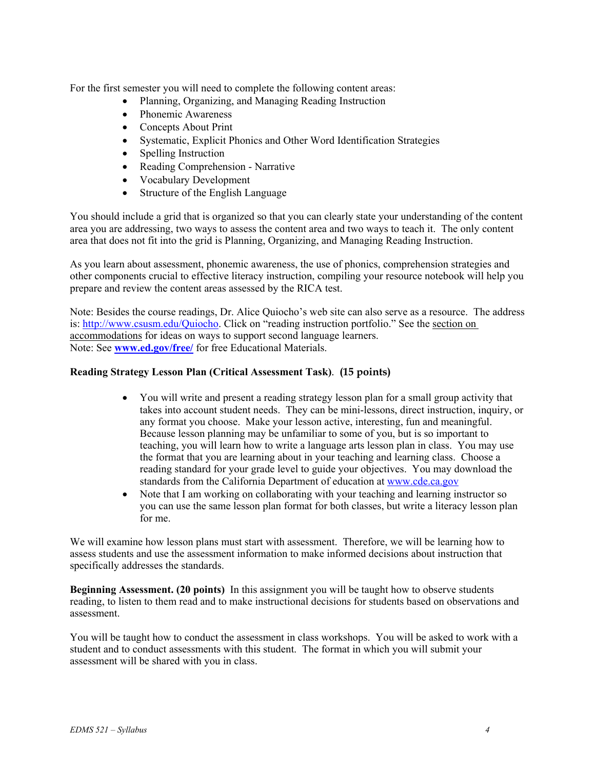For the first semester you will need to complete the following content areas:

- Planning, Organizing, and Managing Reading Instruction
- Phonemic Awareness
- Concepts About Print
- Systematic, Explicit Phonics and Other Word Identification Strategies
- Spelling Instruction
- Reading Comprehension Narrative
- Vocabulary Development
- Structure of the English Language

You should include a grid that is organized so that you can clearly state your understanding of the content area you are addressing, two ways to assess the content area and two ways to teach it. The only content area that does not fit into the grid is Planning, Organizing, and Managing Reading Instruction.

As you learn about assessment, phonemic awareness, the use of phonics, comprehension strategies and other components crucial to effective literacy instruction, compiling your resource notebook will help you prepare and review the content areas assessed by the RICA test.

Note: Besides the course readings, Dr. Alice Quiocho's web site can also serve as a resource. The address is: http://www.csusm.edu/Quiocho. Click on "reading instruction portfolio." See the section on accommodations for ideas on ways to support second language learners. Note: See **www.ed.gov/free/** for free Educational Materials.

## **Reading Strategy Lesson Plan (Critical Assessment Task)**. **(15 points)**

- You will write and present a reading strategy lesson plan for a small group activity that takes into account student needs. They can be mini-lessons, direct instruction, inquiry, or any format you choose. Make your lesson active, interesting, fun and meaningful. Because lesson planning may be unfamiliar to some of you, but is so important to teaching, you will learn how to write a language arts lesson plan in class. You may use the format that you are learning about in your teaching and learning class. Choose a reading standard for your grade level to guide your objectives. You may download the standards from the California Department of education at www.cde.ca.gov
- Note that I am working on collaborating with your teaching and learning instructor so you can use the same lesson plan format for both classes, but write a literacy lesson plan for me.

We will examine how lesson plans must start with assessment. Therefore, we will be learning how to assess students and use the assessment information to make informed decisions about instruction that specifically addresses the standards.

**Beginning Assessment. (20 points)** In this assignment you will be taught how to observe students reading, to listen to them read and to make instructional decisions for students based on observations and assessment.

You will be taught how to conduct the assessment in class workshops. You will be asked to work with a student and to conduct assessments with this student. The format in which you will submit your assessment will be shared with you in class.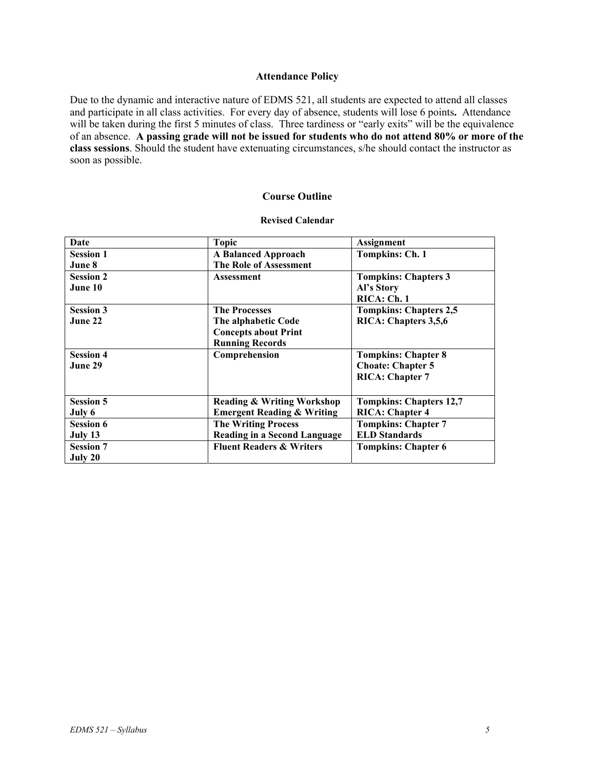## **Attendance Policy**

Due to the dynamic and interactive nature of EDMS 521, all students are expected to attend all classes and participate in all class activities. For every day of absence, students will lose 6 points**.** Attendance will be taken during the first 5 minutes of class. Three tardiness or "early exits" will be the equivalence of an absence. **A passing grade will not be issued for students who do not attend 80% or more of the class sessions**. Should the student have extenuating circumstances, s/he should contact the instructor as soon as possible.

## **Course Outline**

## **Revised Calendar**

| Date                        | <b>Topic</b>                                                                                         | <b>Assignment</b>                                                                |
|-----------------------------|------------------------------------------------------------------------------------------------------|----------------------------------------------------------------------------------|
| <b>Session 1</b><br>June 8  | <b>A Balanced Approach</b><br>The Role of Assessment                                                 | Tompkins: Ch. 1                                                                  |
| <b>Session 2</b><br>June 10 | <b>Assessment</b>                                                                                    | <b>Tompkins: Chapters 3</b><br>Al's Story<br>RICA: Ch. 1                         |
| <b>Session 3</b><br>June 22 | <b>The Processes</b><br>The alphabetic Code<br><b>Concepts about Print</b><br><b>Running Records</b> | <b>Tompkins: Chapters 2,5</b><br>RICA: Chapters 3,5,6                            |
| <b>Session 4</b><br>June 29 | Comprehension                                                                                        | <b>Tompkins: Chapter 8</b><br><b>Choate: Chapter 5</b><br><b>RICA: Chapter 7</b> |
| <b>Session 5</b><br>July 6  | <b>Reading &amp; Writing Workshop</b><br><b>Emergent Reading &amp; Writing</b>                       | <b>Tompkins: Chapters 12,7</b><br><b>RICA: Chapter 4</b>                         |
| <b>Session 6</b><br>July 13 | <b>The Writing Process</b><br><b>Reading in a Second Language</b>                                    | <b>Tompkins: Chapter 7</b><br><b>ELD Standards</b>                               |
| <b>Session 7</b><br>July 20 | <b>Fluent Readers &amp; Writers</b>                                                                  | <b>Tompkins: Chapter 6</b>                                                       |